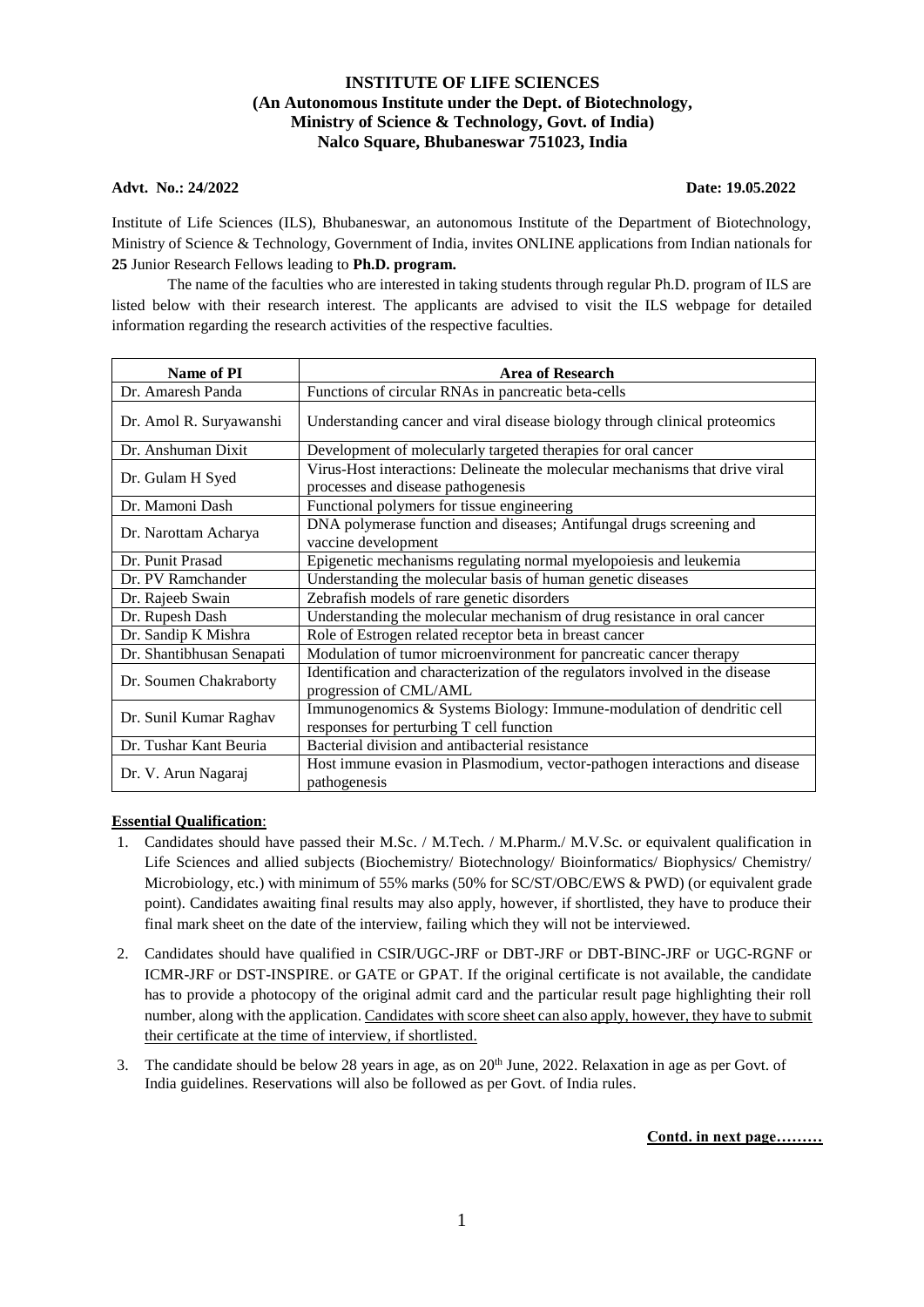# **INSTITUTE OF LIFE SCIENCES (An Autonomous Institute under the Dept. of Biotechnology, Ministry of Science & Technology, Govt. of India) Nalco Square, Bhubaneswar 751023, India**

# **Advt. No.: 24/2022 Date: 19.05.2022**

Institute of Life Sciences (ILS), Bhubaneswar, an autonomous Institute of the Department of Biotechnology, Ministry of Science & Technology, Government of India, invites ONLINE applications from Indian nationals for **25** Junior Research Fellows leading to **Ph.D. program.**

The name of the faculties who are interested in taking students through regular Ph.D. program of ILS are listed below with their research interest. The applicants are advised to visit the ILS webpage for detailed information regarding the research activities of the respective faculties.

| Name of PI                | <b>Area of Research</b>                                                                                            |
|---------------------------|--------------------------------------------------------------------------------------------------------------------|
| Dr. Amaresh Panda         | Functions of circular RNAs in pancreatic beta-cells                                                                |
| Dr. Amol R. Suryawanshi   | Understanding cancer and viral disease biology through clinical proteomics                                         |
| Dr. Anshuman Dixit        | Development of molecularly targeted therapies for oral cancer                                                      |
| Dr. Gulam H Syed          | Virus-Host interactions: Delineate the molecular mechanisms that drive viral<br>processes and disease pathogenesis |
| Dr. Mamoni Dash           | Functional polymers for tissue engineering                                                                         |
| Dr. Narottam Acharya      | DNA polymerase function and diseases; Antifungal drugs screening and<br>vaccine development                        |
| Dr. Punit Prasad          | Epigenetic mechanisms regulating normal myelopoiesis and leukemia                                                  |
| Dr. PV Ramchander         | Understanding the molecular basis of human genetic diseases                                                        |
| Dr. Rajeeb Swain          | Zebrafish models of rare genetic disorders                                                                         |
| Dr. Rupesh Dash           | Understanding the molecular mechanism of drug resistance in oral cancer                                            |
| Dr. Sandip K Mishra       | Role of Estrogen related receptor beta in breast cancer                                                            |
| Dr. Shantibhusan Senapati | Modulation of tumor microenvironment for pancreatic cancer therapy                                                 |
| Dr. Soumen Chakraborty    | Identification and characterization of the regulators involved in the disease<br>progression of CML/AML            |
| Dr. Sunil Kumar Raghav    | Immunogenomics & Systems Biology: Immune-modulation of dendritic cell<br>responses for perturbing T cell function  |
| Dr. Tushar Kant Beuria    | Bacterial division and antibacterial resistance                                                                    |
| Dr. V. Arun Nagaraj       | Host immune evasion in Plasmodium, vector-pathogen interactions and disease<br>pathogenesis                        |

### **Essential Qualification**:

- 1. Candidates should have passed their M.Sc. / M.Tech. / M.Pharm./ M.V.Sc. or equivalent qualification in Life Sciences and allied subjects (Biochemistry/ Biotechnology/ Bioinformatics/ Biophysics/ Chemistry/ Microbiology, etc.) with minimum of 55% marks (50% for SC/ST/OBC/EWS & PWD) (or equivalent grade point). Candidates awaiting final results may also apply, however, if shortlisted, they have to produce their final mark sheet on the date of the interview, failing which they will not be interviewed.
- 2. Candidates should have qualified in CSIR/UGC-JRF or DBT-JRF or DBT-BINC-JRF or UGC-RGNF or ICMR-JRF or DST-INSPIRE. or GATE or GPAT. If the original certificate is not available, the candidate has to provide a photocopy of the original admit card and the particular result page highlighting their roll number, along with the application. Candidates with score sheet can also apply, however, they have to submit their certificate at the time of interview, if shortlisted.
- 3. The candidate should be below 28 years in age, as on  $20^{th}$  June, 2022. Relaxation in age as per Govt. of India guidelines. Reservations will also be followed as per Govt. of India rules.

**Contd. in next page………**